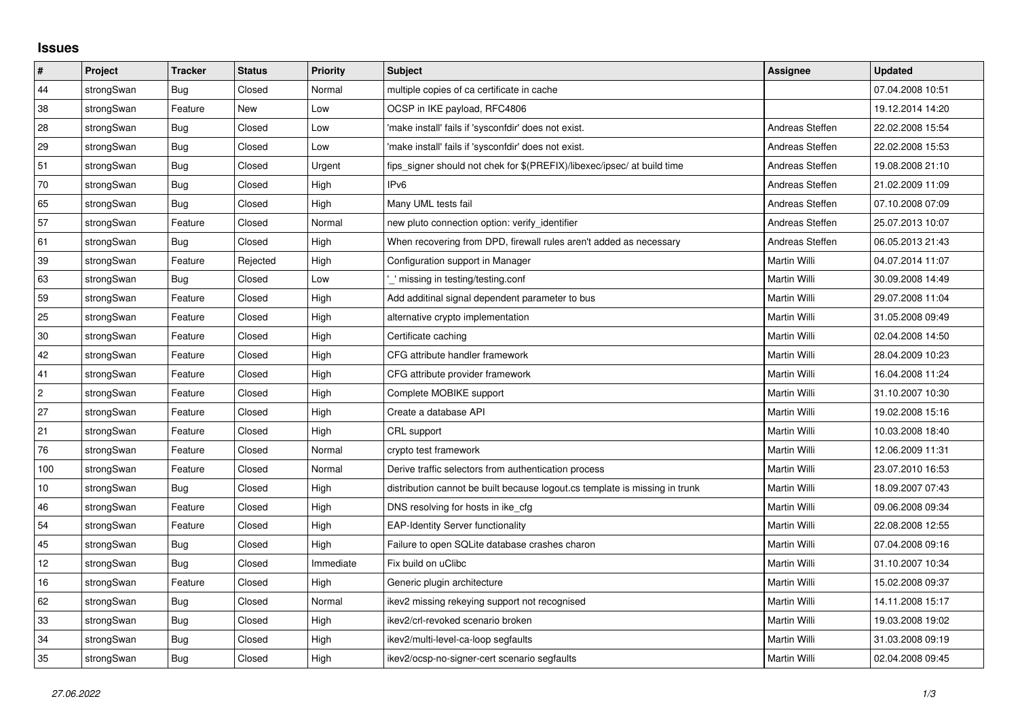## **Issues**

| $\vert$ #  | Project    | <b>Tracker</b> | <b>Status</b> | Priority  | <b>Subject</b>                                                              | <b>Assignee</b>     | <b>Updated</b>   |
|------------|------------|----------------|---------------|-----------|-----------------------------------------------------------------------------|---------------------|------------------|
| 44         | strongSwan | Bug            | Closed        | Normal    | multiple copies of ca certificate in cache                                  |                     | 07.04.2008 10:51 |
| 38         | strongSwan | Feature        | New           | Low       | OCSP in IKE payload, RFC4806                                                |                     | 19.12.2014 14:20 |
| 28         | strongSwan | Bug            | Closed        | Low       | 'make install' fails if 'sysconfdir' does not exist.                        | Andreas Steffen     | 22.02.2008 15:54 |
| 29         | strongSwan | <b>Bug</b>     | Closed        | Low       | 'make install' fails if 'sysconfdir' does not exist.                        | Andreas Steffen     | 22.02.2008 15:53 |
| 51         | strongSwan | Bug            | Closed        | Urgent    | fips signer should not chek for \$(PREFIX)/libexec/ipsec/ at build time     | Andreas Steffen     | 19.08.2008 21:10 |
| 70         | strongSwan | Bug            | Closed        | High      | IP <sub>v6</sub>                                                            | Andreas Steffen     | 21.02.2009 11:09 |
| 65         | strongSwan | Bug            | Closed        | High      | Many UML tests fail                                                         | Andreas Steffen     | 07.10.2008 07:09 |
| 57         | strongSwan | Feature        | Closed        | Normal    | new pluto connection option: verify_identifier                              | Andreas Steffen     | 25.07.2013 10:07 |
| 61         | strongSwan | Bug            | Closed        | High      | When recovering from DPD, firewall rules aren't added as necessary          | Andreas Steffen     | 06.05.2013 21:43 |
| 39         | strongSwan | Feature        | Rejected      | High      | Configuration support in Manager                                            | Martin Willi        | 04.07.2014 11:07 |
| 63         | strongSwan | <b>Bug</b>     | Closed        | Low       | ' missing in testing/testing.conf                                           | Martin Willi        | 30.09.2008 14:49 |
| 59         | strongSwan | Feature        | Closed        | High      | Add additinal signal dependent parameter to bus                             | Martin Willi        | 29.07.2008 11:04 |
| 25         | strongSwan | Feature        | Closed        | High      | alternative crypto implementation                                           | <b>Martin Willi</b> | 31.05.2008 09:49 |
| $30\,$     | strongSwan | Feature        | Closed        | High      | Certificate caching                                                         | Martin Willi        | 02.04.2008 14:50 |
| 42         | strongSwan | Feature        | Closed        | High      | CFG attribute handler framework                                             | Martin Willi        | 28.04.2009 10:23 |
| 41         | strongSwan | Feature        | Closed        | High      | CFG attribute provider framework                                            | <b>Martin Willi</b> | 16.04.2008 11:24 |
| $\sqrt{2}$ | strongSwan | Feature        | Closed        | High      | Complete MOBIKE support                                                     | Martin Willi        | 31.10.2007 10:30 |
| 27         | strongSwan | Feature        | Closed        | High      | Create a database API                                                       | Martin Willi        | 19.02.2008 15:16 |
| 21         | strongSwan | Feature        | Closed        | High      | CRL support                                                                 | Martin Willi        | 10.03.2008 18:40 |
| 76         | strongSwan | Feature        | Closed        | Normal    | crypto test framework                                                       | Martin Willi        | 12.06.2009 11:31 |
| 100        | strongSwan | Feature        | Closed        | Normal    | Derive traffic selectors from authentication process                        | Martin Willi        | 23.07.2010 16:53 |
| 10         | strongSwan | Bug            | Closed        | High      | distribution cannot be built because logout cs template is missing in trunk | Martin Willi        | 18.09.2007 07:43 |
| 46         | strongSwan | Feature        | Closed        | High      | DNS resolving for hosts in ike cfg                                          | Martin Willi        | 09.06.2008 09:34 |
| 54         | strongSwan | Feature        | Closed        | High      | <b>EAP-Identity Server functionality</b>                                    | Martin Willi        | 22.08.2008 12:55 |
| 45         | strongSwan | Bug            | Closed        | High      | Failure to open SQLite database crashes charon                              | Martin Willi        | 07.04.2008 09:16 |
| 12         | strongSwan | Bug            | Closed        | Immediate | Fix build on uClibc                                                         | Martin Willi        | 31.10.2007 10:34 |
| 16         | strongSwan | Feature        | Closed        | High      | Generic plugin architecture                                                 | Martin Willi        | 15.02.2008 09:37 |
| 62         | strongSwan | <b>Bug</b>     | Closed        | Normal    | ikev2 missing rekeying support not recognised                               | Martin Willi        | 14.11.2008 15:17 |
| 33         | strongSwan | Bug            | Closed        | High      | ikev2/crl-revoked scenario broken                                           | Martin Willi        | 19.03.2008 19:02 |
| 34         | strongSwan | <b>Bug</b>     | Closed        | High      | ikev2/multi-level-ca-loop segfaults                                         | Martin Willi        | 31.03.2008 09:19 |
| 35         | strongSwan | Bug            | Closed        | High      | ikev2/ocsp-no-signer-cert scenario segfaults                                | <b>Martin Willi</b> | 02.04.2008 09:45 |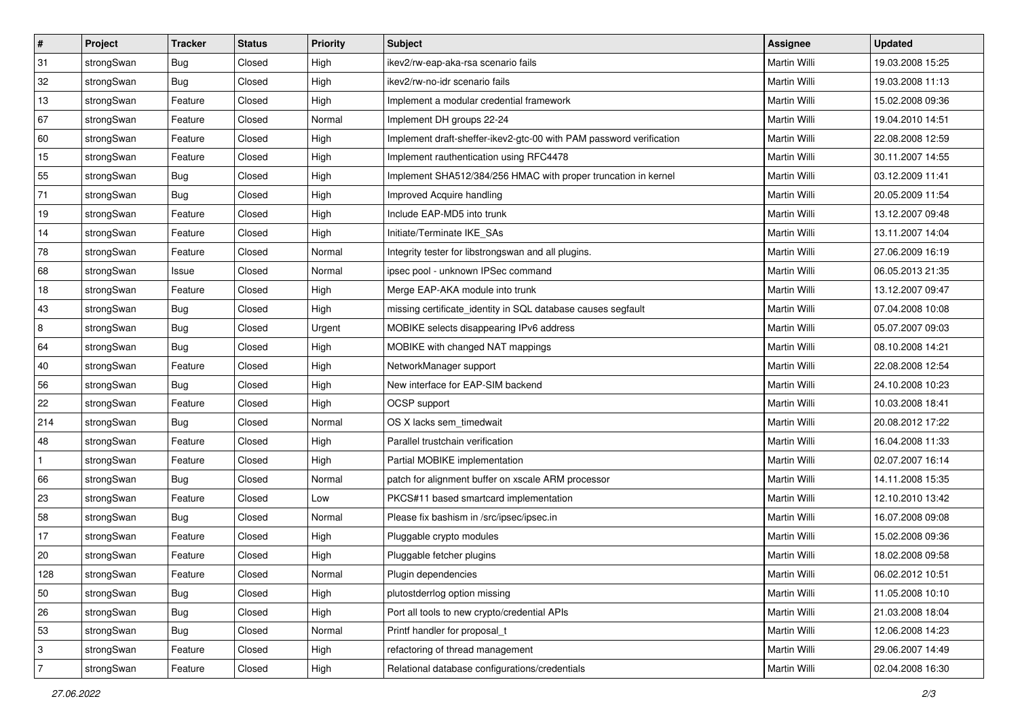| $\vert$ #      | Project    | <b>Tracker</b> | <b>Status</b> | <b>Priority</b> | <b>Subject</b>                                                      | Assignee            | <b>Updated</b>   |
|----------------|------------|----------------|---------------|-----------------|---------------------------------------------------------------------|---------------------|------------------|
| 31             | strongSwan | Bug            | Closed        | High            | ikev2/rw-eap-aka-rsa scenario fails                                 | Martin Willi        | 19.03.2008 15:25 |
| 32             | strongSwan | Bug            | Closed        | High            | ikev2/rw-no-idr scenario fails                                      | <b>Martin Willi</b> | 19.03.2008 11:13 |
| 13             | strongSwan | Feature        | Closed        | High            | Implement a modular credential framework                            | Martin Willi        | 15.02.2008 09:36 |
| 67             | strongSwan | Feature        | Closed        | Normal          | Implement DH groups 22-24                                           | Martin Willi        | 19.04.2010 14:51 |
| 60             | strongSwan | Feature        | Closed        | High            | Implement draft-sheffer-ikev2-gtc-00 with PAM password verification | Martin Willi        | 22.08.2008 12:59 |
| 15             | strongSwan | Feature        | Closed        | High            | Implement rauthentication using RFC4478                             | Martin Willi        | 30.11.2007 14:55 |
| 55             | strongSwan | Bug            | Closed        | High            | Implement SHA512/384/256 HMAC with proper truncation in kernel      | Martin Willi        | 03.12.2009 11:41 |
| 71             | strongSwan | Bug            | Closed        | High            | Improved Acquire handling                                           | Martin Willi        | 20.05.2009 11:54 |
| 19             | strongSwan | Feature        | Closed        | High            | Include EAP-MD5 into trunk                                          | Martin Willi        | 13.12.2007 09:48 |
| 14             | strongSwan | Feature        | Closed        | High            | Initiate/Terminate IKE_SAs                                          | Martin Willi        | 13.11.2007 14:04 |
| 78             | strongSwan | Feature        | Closed        | Normal          | Integrity tester for libstrongswan and all plugins.                 | Martin Willi        | 27.06.2009 16:19 |
| 68             | strongSwan | Issue          | Closed        | Normal          | ipsec pool - unknown IPSec command                                  | Martin Willi        | 06.05.2013 21:35 |
| 18             | strongSwan | Feature        | Closed        | High            | Merge EAP-AKA module into trunk                                     | <b>Martin Willi</b> | 13.12.2007 09:47 |
| 43             | strongSwan | Bug            | Closed        | High            | missing certificate_identity in SQL database causes segfault        | Martin Willi        | 07.04.2008 10:08 |
| $\overline{8}$ | strongSwan | Bug            | Closed        | Urgent          | MOBIKE selects disappearing IPv6 address                            | <b>Martin Willi</b> | 05.07.2007 09:03 |
| 64             | strongSwan | <b>Bug</b>     | Closed        | High            | MOBIKE with changed NAT mappings                                    | Martin Willi        | 08.10.2008 14:21 |
| 40             | strongSwan | Feature        | Closed        | High            | NetworkManager support                                              | <b>Martin Willi</b> | 22.08.2008 12:54 |
| 56             | strongSwan | Bug            | Closed        | High            | New interface for EAP-SIM backend                                   | Martin Willi        | 24.10.2008 10:23 |
| 22             | strongSwan | Feature        | Closed        | High            | OCSP support                                                        | Martin Willi        | 10.03.2008 18:41 |
| 214            | strongSwan | <b>Bug</b>     | Closed        | Normal          | OS X lacks sem_timedwait                                            | <b>Martin Willi</b> | 20.08.2012 17:22 |
| 48             | strongSwan | Feature        | Closed        | High            | Parallel trustchain verification                                    | Martin Willi        | 16.04.2008 11:33 |
| $\mathbf{1}$   | strongSwan | Feature        | Closed        | High            | Partial MOBIKE implementation                                       | Martin Willi        | 02.07.2007 16:14 |
| 66             | strongSwan | Bug            | Closed        | Normal          | patch for alignment buffer on xscale ARM processor                  | Martin Willi        | 14.11.2008 15:35 |
| 23             | strongSwan | Feature        | Closed        | Low             | PKCS#11 based smartcard implementation                              | Martin Willi        | 12.10.2010 13:42 |
| 58             | strongSwan | <b>Bug</b>     | Closed        | Normal          | Please fix bashism in /src/ipsec/ipsec.in                           | Martin Willi        | 16.07.2008 09:08 |
| 17             | strongSwan | Feature        | Closed        | High            | Pluggable crypto modules                                            | Martin Willi        | 15.02.2008 09:36 |
| $ 20\rangle$   | strongSwan | Feature        | Closed        | High            | Pluggable fetcher plugins                                           | Martin Willi        | 18.02.2008 09:58 |
| 128            | strongSwan | Feature        | Closed        | Normal          | Plugin dependencies                                                 | Martin Willi        | 06.02.2012 10:51 |
| 50             | strongSwan | Bug            | Closed        | High            | plutostderrlog option missing                                       | Martin Willi        | 11.05.2008 10:10 |
| 26             | strongSwan | Bug            | Closed        | High            | Port all tools to new crypto/credential APIs                        | Martin Willi        | 21.03.2008 18:04 |
| 53             | strongSwan | <b>Bug</b>     | Closed        | Normal          | Printf handler for proposal_t                                       | Martin Willi        | 12.06.2008 14:23 |
| 3              | strongSwan | Feature        | Closed        | High            | refactoring of thread management                                    | Martin Willi        | 29.06.2007 14:49 |
| $\overline{7}$ | strongSwan | Feature        | Closed        | High            | Relational database configurations/credentials                      | Martin Willi        | 02.04.2008 16:30 |